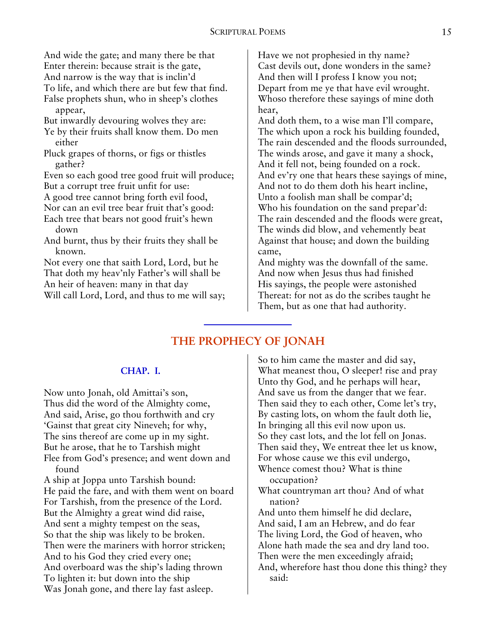And wide the gate; and many there be that Enter therein: because strait is the gate, And narrow is the way that is inclin'd To life, and which there are but few that find. False prophets shun, who in sheep's clothes

appear,

- But inwardly devouring wolves they are:
- Ye by their fruits shall know them. Do men either
- Pluck grapes of thorns, or figs or thistles gather?
- Even so each good tree good fruit will produce; But a corrupt tree fruit unfit for use:

A good tree cannot bring forth evil food,

- Nor can an evil tree bear fruit that's good:
- Each tree that bears not good fruit's hewn down
- And burnt, thus by their fruits they shall be known.

Not every one that saith Lord, Lord, but he That doth my heav'nly Father's will shall be An heir of heaven: many in that day Will call Lord, Lord, and thus to me will say; Have we not prophesied in thy name? Cast devils out, done wonders in the same? And then will I profess I know you not; Depart from me ye that have evil wrought. Whoso therefore these sayings of mine doth hear,

And doth them, to a wise man I'll compare, The which upon a rock his building founded, The rain descended and the floods surrounded, The winds arose, and gave it many a shock, And it fell not, being founded on a rock. And ev'ry one that hears these sayings of mine, And not to do them doth his heart incline, Unto a foolish man shall be compar'd; Who his foundation on the sand prepar'd: The rain descended and the floods were great, The winds did blow, and vehemently beat Against that house; and down the building came,

And mighty was the downfall of the same. And now when Jesus thus had finished His sayings, the people were astonished Thereat: for not as do the scribes taught he Them, but as one that had authority.

# **THE PROPHECY OF JONAH**

### **CHAP. I.**

Now unto Jonah, old Amittai's son, Thus did the word of the Almighty come, And said, Arise, go thou forthwith and cry 'Gainst that great city Nineveh; for why, The sins thereof are come up in my sight. But he arose, that he to Tarshish might Flee from God's presence; and went down and found

A ship at Joppa unto Tarshish bound: He paid the fare, and with them went on board For Tarshish, from the presence of the Lord. But the Almighty a great wind did raise, And sent a mighty tempest on the seas, So that the ship was likely to be broken. Then were the mariners with horror stricken; And to his God they cried every one; And overboard was the ship's lading thrown To lighten it: but down into the ship Was Jonah gone, and there lay fast asleep.

So to him came the master and did say, What meanest thou, O sleeper! rise and pray Unto thy God, and he perhaps will hear, And save us from the danger that we fear. Then said they to each other, Come let's try, By casting lots, on whom the fault doth lie, In bringing all this evil now upon us. So they cast lots, and the lot fell on Jonas. Then said they, We entreat thee let us know, For whose cause we this evil undergo, Whence comest thou? What is thine occupation?

What countryman art thou? And of what nation?

And unto them himself he did declare, And said, I am an Hebrew, and do fear The living Lord, the God of heaven, who Alone hath made the sea and dry land too. Then were the men exceedingly afraid; And, wherefore hast thou done this thing? they said: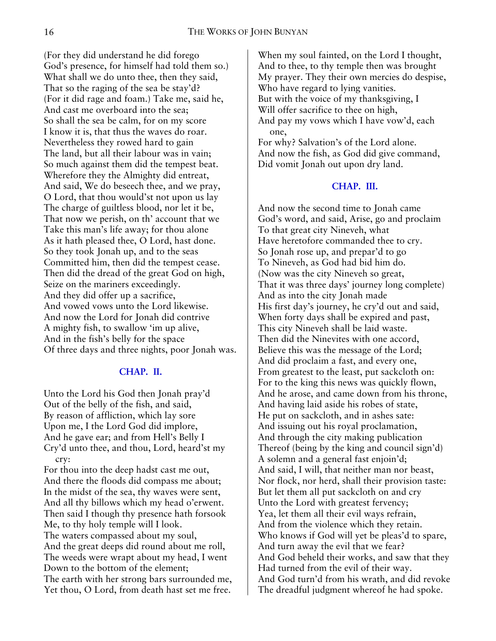(For they did understand he did forego God's presence, for himself had told them so.) What shall we do unto thee, then they said, That so the raging of the sea be stay'd? (For it did rage and foam.) Take me, said he, And cast me overboard into the sea; So shall the sea be calm, for on my score I know it is, that thus the waves do roar. Nevertheless they rowed hard to gain The land, but all their labour was in vain; So much against them did the tempest beat. Wherefore they the Almighty did entreat, And said, We do beseech thee, and we pray, O Lord, that thou would'st not upon us lay The charge of guiltless blood, nor let it be, That now we perish, on th' account that we Take this man's life away; for thou alone As it hath pleased thee, O Lord, hast done. So they took Jonah up, and to the seas Committed him, then did the tempest cease. Then did the dread of the great God on high, Seize on the mariners exceedingly. And they did offer up a sacrifice, And vowed vows unto the Lord likewise. And now the Lord for Jonah did contrive A mighty fish, to swallow 'im up alive, And in the fish's belly for the space Of three days and three nights, poor Jonah was.

### **CHAP. II.**

Unto the Lord his God then Jonah pray'd Out of the belly of the fish, and said, By reason of affliction, which lay sore Upon me, I the Lord God did implore, And he gave ear; and from Hell's Belly I Cry'd unto thee, and thou, Lord, heard'st my cry:

For thou into the deep hadst cast me out, And there the floods did compass me about; In the midst of the sea, thy waves were sent, And all thy billows which my head o'erwent. Then said I though thy presence hath forsook Me, to thy holy temple will I look. The waters compassed about my soul, And the great deeps did round about me roll, The weeds were wrapt about my head, I went Down to the bottom of the element; The earth with her strong bars surrounded me, Yet thou, O Lord, from death hast set me free.

When my soul fainted, on the Lord I thought, And to thee, to thy temple then was brought My prayer. They their own mercies do despise, Who have regard to lying vanities. But with the voice of my thanksgiving, I Will offer sacrifice to thee on high, And pay my vows which I have vow'd, each one,

For why? Salvation's of the Lord alone. And now the fish, as God did give command, Did vomit Jonah out upon dry land.

## **CHAP. III.**

And now the second time to Jonah came God's word, and said, Arise, go and proclaim To that great city Nineveh, what Have heretofore commanded thee to cry. So Jonah rose up, and prepar'd to go To Nineveh, as God had bid him do. (Now was the city Nineveh so great, That it was three days' journey long complete) And as into the city Jonah made His first day's journey, he cry'd out and said, When forty days shall be expired and past, This city Nineveh shall be laid waste. Then did the Ninevites with one accord, Believe this was the message of the Lord; And did proclaim a fast, and every one, From greatest to the least, put sackcloth on: For to the king this news was quickly flown, And he arose, and came down from his throne, And having laid aside his robes of state, He put on sackcloth, and in ashes sate: And issuing out his royal proclamation, And through the city making publication Thereof (being by the king and council sign'd) A solemn and a general fast enjoin'd; And said, I will, that neither man nor beast, Nor flock, nor herd, shall their provision taste: But let them all put sackcloth on and cry Unto the Lord with greatest fervency; Yea, let them all their evil ways refrain, And from the violence which they retain. Who knows if God will yet be pleas'd to spare, And turn away the evil that we fear? And God beheld their works, and saw that they Had turned from the evil of their way. And God turn'd from his wrath, and did revoke The dreadful judgment whereof he had spoke.